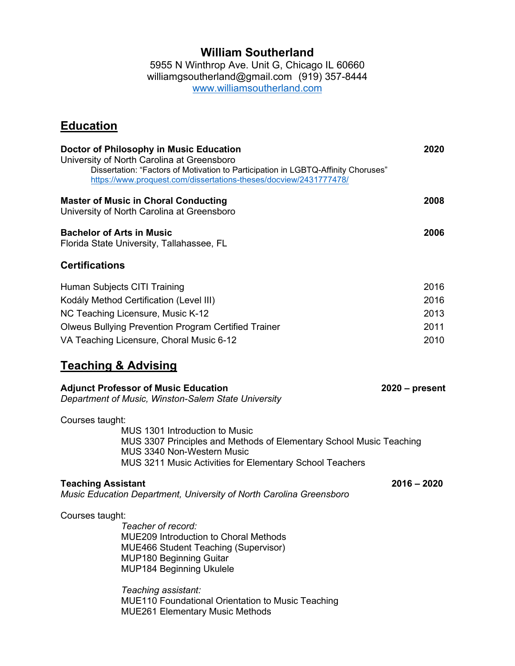## **William Southerland**

5955 N Winthrop Ave. Unit G, Chicago IL 60660 williamgsoutherland@gmail.com (919) 357-8444 [www.williamsoutherland.com](http://www.williamsoutherland.com/)

# **Education**

| Doctor of Philosophy in Music Education<br>University of North Carolina at Greensboro                                                                                                                                                                        | Dissertation: "Factors of Motivation to Participation in LGBTQ-Affinity Choruses"<br>https://www.proquest.com/dissertations-theses/docview/2431777478/                                                                                                                                                                | 2020                                                     |
|--------------------------------------------------------------------------------------------------------------------------------------------------------------------------------------------------------------------------------------------------------------|-----------------------------------------------------------------------------------------------------------------------------------------------------------------------------------------------------------------------------------------------------------------------------------------------------------------------|----------------------------------------------------------|
| <b>Master of Music in Choral Conducting</b><br>University of North Carolina at Greensboro                                                                                                                                                                    |                                                                                                                                                                                                                                                                                                                       | 2008                                                     |
| <b>Bachelor of Arts in Music</b><br>Florida State University, Tallahassee, FL                                                                                                                                                                                |                                                                                                                                                                                                                                                                                                                       | 2006                                                     |
| <b>Certifications</b>                                                                                                                                                                                                                                        |                                                                                                                                                                                                                                                                                                                       |                                                          |
| Human Subjects CITI Training<br>Kodály Method Certification (Level III)<br>NC Teaching Licensure, Music K-12<br>VA Teaching Licensure, Choral Music 6-12<br><b>Teaching &amp; Advising</b><br><b>Adjunct Professor of Music Education</b><br>Courses taught: | <b>Olweus Bullying Prevention Program Certified Trainer</b><br>Department of Music, Winston-Salem State University<br>MUS 1301 Introduction to Music<br>MUS 3307 Principles and Methods of Elementary School Music Teaching<br>MUS 3340 Non-Western Music<br>MUS 3211 Music Activities for Elementary School Teachers | 2016<br>2016<br>2013<br>2011<br>2010<br>$2020$ – present |
| <b>Teaching Assistant</b>                                                                                                                                                                                                                                    | Music Education Department, University of North Carolina Greensboro                                                                                                                                                                                                                                                   | $2016 - 2020$                                            |
| Courses taught:                                                                                                                                                                                                                                              | Teacher of record:<br><b>MUE209 Introduction to Choral Methods</b><br><b>MUE466 Student Teaching (Supervisor)</b><br><b>MUP180 Beginning Guitar</b><br><b>MUP184 Beginning Ukulele</b><br>Teaching assistant:<br><b>MUE110 Foundational Orientation to Music Teaching</b>                                             |                                                          |

MUE261 Elementary Music Methods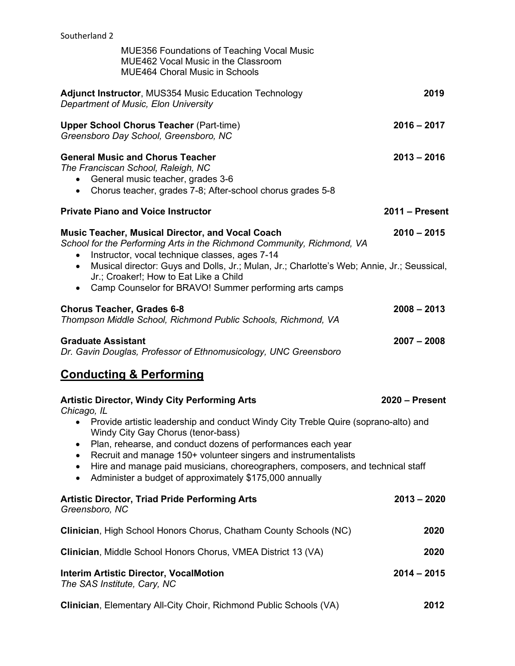| <b>MUE356 Foundations of Teaching Vocal Music</b><br>MUE462 Vocal Music in the Classroom<br><b>MUE464 Choral Music in Schools</b>                                                                                                                                                                                                                                                                                                                                |                  |
|------------------------------------------------------------------------------------------------------------------------------------------------------------------------------------------------------------------------------------------------------------------------------------------------------------------------------------------------------------------------------------------------------------------------------------------------------------------|------------------|
| Adjunct Instructor, MUS354 Music Education Technology<br>Department of Music, Elon University                                                                                                                                                                                                                                                                                                                                                                    | 2019             |
| <b>Upper School Chorus Teacher (Part-time)</b><br>Greensboro Day School, Greensboro, NC                                                                                                                                                                                                                                                                                                                                                                          | $2016 - 2017$    |
| <b>General Music and Chorus Teacher</b><br>The Franciscan School, Raleigh, NC<br>General music teacher, grades 3-6<br>Chorus teacher, grades 7-8; After-school chorus grades 5-8<br>$\bullet$                                                                                                                                                                                                                                                                    | $2013 - 2016$    |
| <b>Private Piano and Voice Instructor</b>                                                                                                                                                                                                                                                                                                                                                                                                                        | 2011 – Present   |
| <b>Music Teacher, Musical Director, and Vocal Coach</b><br>School for the Performing Arts in the Richmond Community, Richmond, VA<br>Instructor, vocal technique classes, ages 7-14<br>$\bullet$<br>Musical director: Guys and Dolls, Jr.; Mulan, Jr.; Charlotte's Web; Annie, Jr.; Seussical,<br>$\bullet$<br>Jr.; Croaker!; How to Eat Like a Child<br>Camp Counselor for BRAVO! Summer performing arts camps<br>$\bullet$                                     | $2010 - 2015$    |
| <b>Chorus Teacher, Grades 6-8</b><br>Thompson Middle School, Richmond Public Schools, Richmond, VA                                                                                                                                                                                                                                                                                                                                                               | $2008 - 2013$    |
| <b>Graduate Assistant</b><br>Dr. Gavin Douglas, Professor of Ethnomusicology, UNC Greensboro                                                                                                                                                                                                                                                                                                                                                                     | $2007 - 2008$    |
| <b>Conducting &amp; Performing</b>                                                                                                                                                                                                                                                                                                                                                                                                                               |                  |
| <b>Artistic Director, Windy City Performing Arts</b><br>Chicago, IL                                                                                                                                                                                                                                                                                                                                                                                              | $2020 -$ Present |
| Provide artistic leadership and conduct Windy City Treble Quire (soprano-alto) and<br>٠<br>Windy City Gay Chorus (tenor-bass)<br>Plan, rehearse, and conduct dozens of performances each year<br>$\bullet$<br>Recruit and manage 150+ volunteer singers and instrumentalists<br>$\bullet$<br>Hire and manage paid musicians, choreographers, composers, and technical staff<br>$\bullet$<br>Administer a budget of approximately \$175,000 annually<br>$\bullet$ |                  |
| <b>Artistic Director, Triad Pride Performing Arts</b><br>Greensboro, NC                                                                                                                                                                                                                                                                                                                                                                                          | $2013 - 2020$    |
| Clinician, High School Honors Chorus, Chatham County Schools (NC)                                                                                                                                                                                                                                                                                                                                                                                                | 2020             |
| Clinician, Middle School Honors Chorus, VMEA District 13 (VA)                                                                                                                                                                                                                                                                                                                                                                                                    | 2020             |
| <b>Interim Artistic Director, VocalMotion</b><br>The SAS Institute, Cary, NC                                                                                                                                                                                                                                                                                                                                                                                     | $2014 - 2015$    |

**Clinician**, Elementary All-City Choir, Richmond Public Schools (VA) **2012**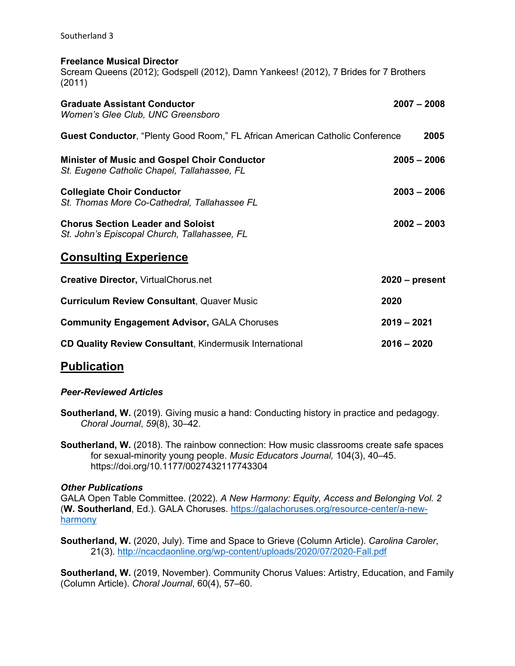#### **Freelance Musical Director**

Scream Queens (2012); Godspell (2012), Damn Yankees! (2012), 7 Brides for 7 Brothers (2011)

| <b>Graduate Assistant Conductor</b><br>Women's Glee Club, UNC Greensboro                           | $2007 - 2008$    |
|----------------------------------------------------------------------------------------------------|------------------|
| <b>Guest Conductor, "Plenty Good Room," FL African American Catholic Conference</b>                | 2005             |
| <b>Minister of Music and Gospel Choir Conductor</b><br>St. Eugene Catholic Chapel, Tallahassee, FL | $2005 - 2006$    |
| <b>Collegiate Choir Conductor</b><br>St. Thomas More Co-Cathedral, Tallahassee FL                  | $2003 - 2006$    |
| <b>Chorus Section Leader and Soloist</b><br>St. John's Episcopal Church, Tallahassee, FL           | $2002 - 2003$    |
| <b>Consulting Experience</b>                                                                       |                  |
| <b>Creative Director, VirtualChorus.net</b>                                                        | $2020$ – present |
| <b>Curriculum Review Consultant, Quaver Music</b>                                                  | 2020             |
| <b>Community Engagement Advisor, GALA Choruses</b>                                                 | $2019 - 2021$    |
| <b>CD Quality Review Consultant, Kindermusik International</b>                                     | $2016 - 2020$    |

## **Publication**

#### *Peer-Reviewed Articles*

- **Southerland, W.** (2019). Giving music a hand: Conducting history in practice and pedagogy. *Choral Journal*, *59*(8), 30–42.
- **Southerland, W.** (2018). The rainbow connection: How music classrooms create safe spaces for sexual-minority young people. *Music Educators Journal,* 104(3), 40–45. <https://doi.org/10.1177/0027432117743304>

### *Other Publications*

GALA Open Table Committee. (2022). *A New Harmony: Equity, Access and Belonging Vol. 2* (**W. Southerland**, Ed.). GALA Choruses. [https://galachoruses.org/resource-center/a-new](https://galachoruses.org/resource-center/a-new-harmony)[harmony](https://galachoruses.org/resource-center/a-new-harmony)

**Southerland, W.** (2020, July). Time and Space to Grieve (Column Article). *Carolina Caroler*, 21(3).<http://ncacdaonline.org/wp-content/uploads/2020/07/2020-Fall.pdf>

**Southerland, W.** (2019, November). Community Chorus Values: Artistry, Education, and Family (Column Article). *Choral Journal*, 60(4), 57–60.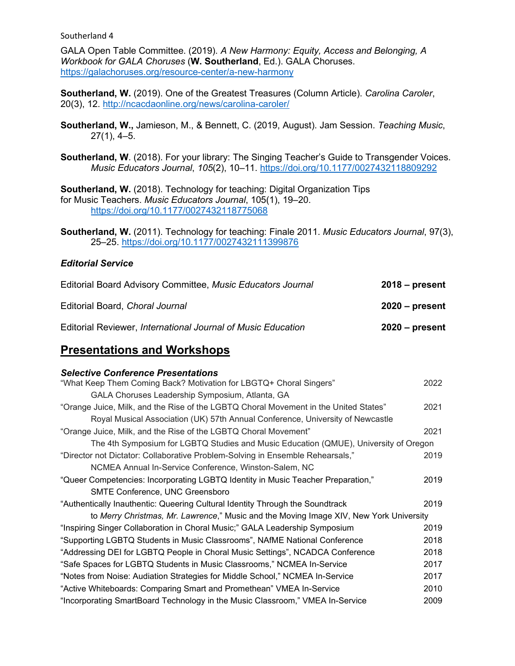GALA Open Table Committee. (2019). *A New Harmony: Equity, Access and Belonging, A Workbook for GALA Choruses* (**W. Southerland**, Ed.). GALA Choruses. <https://galachoruses.org/resource-center/a-new-harmony>

**Southerland, W.** (2019). One of the Greatest Treasures (Column Article). *Carolina Caroler*, 20(3), 12.<http://ncacdaonline.org/news/carolina-caroler/>

- **Southerland, W.,** Jamieson, M., & Bennett, C. (2019, August). Jam Session. *Teaching Music*, 27(1), 4–5.
- **Southerland, W**. (2018). For your library: The Singing Teacher's Guide to Transgender Voices. *Music Educators Journal*, *105*(2), 10–11.<https://doi.org/10.1177/0027432118809292>

**Southerland, W.** (2018). Technology for teaching: Digital Organization Tips for Music Teachers. *Music Educators Journal*, 105(1), 19–20. <https://doi.org/10.1177/0027432118775068>

**Southerland, W.** (2011). Technology for teaching: Finale 2011. *Music Educators Journal*, 97(3), 25–25.<https://doi.org/10.1177/0027432111399876>

### *Editorial Service*

| Editorial Board Advisory Committee, Music Educators Journal  | $2018 - present$ |
|--------------------------------------------------------------|------------------|
| Editorial Board, Choral Journal                              | $2020$ – present |
| Editorial Reviewer, International Journal of Music Education | $2020 - present$ |

# **Presentations and Workshops**

#### *Selective Conference Presentations*

| "What Keep Them Coming Back? Motivation for LBGTQ+ Choral Singers"                     | 2022 |
|----------------------------------------------------------------------------------------|------|
| GALA Choruses Leadership Symposium, Atlanta, GA                                        |      |
| "Orange Juice, Milk, and the Rise of the LGBTQ Choral Movement in the United States"   | 2021 |
| Royal Musical Association (UK) 57th Annual Conference, University of Newcastle         |      |
| "Orange Juice, Milk, and the Rise of the LGBTQ Choral Movement"                        | 2021 |
| The 4th Symposium for LGBTQ Studies and Music Education (QMUE), University of Oregon   |      |
| "Director not Dictator: Collaborative Problem-Solving in Ensemble Rehearsals,"         | 2019 |
| NCMEA Annual In-Service Conference, Winston-Salem, NC                                  |      |
| "Queer Competencies: Incorporating LGBTQ Identity in Music Teacher Preparation,"       | 2019 |
| <b>SMTE Conference, UNC Greensboro</b>                                                 |      |
| "Authentically Inauthentic: Queering Cultural Identity Through the Soundtrack          | 2019 |
| to Merry Christmas, Mr. Lawrence," Music and the Moving Image XIV, New York University |      |
| "Inspiring Singer Collaboration in Choral Music;" GALA Leadership Symposium            | 2019 |
| "Supporting LGBTQ Students in Music Classrooms", NAfME National Conference             | 2018 |
| "Addressing DEI for LGBTQ People in Choral Music Settings", NCADCA Conference          | 2018 |
| "Safe Spaces for LGBTQ Students in Music Classrooms," NCMEA In-Service                 | 2017 |
| "Notes from Noise: Audiation Strategies for Middle School," NCMEA In-Service           | 2017 |
| "Active Whiteboards: Comparing Smart and Promethean" VMEA In-Service                   | 2010 |
| "Incorporating SmartBoard Technology in the Music Classroom," VMEA In-Service          | 2009 |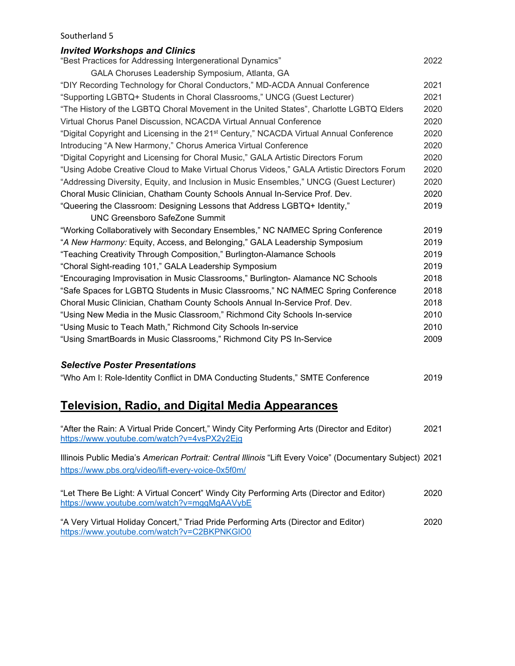### *Invited Workshops and Clinics* "Best Practices for Addressing Intergenerational Dynamics" 2022 GALA Choruses Leadership Symposium, Atlanta, GA "DIY Recording Technology for Choral Conductors," MD-ACDA Annual Conference 2021 "Supporting LGBTQ+ Students in Choral Classrooms," UNCG (Guest Lecturer) 2021 "The History of the LGBTQ Choral Movement in the United States", Charlotte LGBTQ Elders 2020 Virtual Chorus Panel Discussion, NCACDA Virtual Annual Conference 2020

| "Digital Copyright and Licensing in the 21 <sup>st</sup> Century," NCACDA Virtual Annual Conference | 2020 |
|-----------------------------------------------------------------------------------------------------|------|
| Introducing "A New Harmony," Chorus America Virtual Conference                                      | 2020 |
| "Digital Copyright and Licensing for Choral Music," GALA Artistic Directors Forum                   | 2020 |
| "Using Adobe Creative Cloud to Make Virtual Chorus Videos," GALA Artistic Directors Forum           | 2020 |
| "Addressing Diversity, Equity, and Inclusion in Music Ensembles," UNCG (Guest Lecturer)             | 2020 |
| Choral Music Clinician, Chatham County Schools Annual In-Service Prof. Dev.                         | 2020 |
| "Queering the Classroom: Designing Lessons that Address LGBTQ+ Identity,"                           | 2019 |
| <b>UNC Greensboro SafeZone Summit</b>                                                               |      |
| "Working Collaboratively with Secondary Ensembles," NC NAfMEC Spring Conference                     | 2019 |
| "A New Harmony: Equity, Access, and Belonging," GALA Leadership Symposium                           | 2019 |
| "Teaching Creativity Through Composition," Burlington-Alamance Schools                              | 2019 |
| "Choral Sight-reading 101," GALA Leadership Symposium                                               | 2019 |
| "Encouraging Improvisation in Music Classrooms," Burlington- Alamance NC Schools                    | 2018 |
| "Safe Spaces for LGBTQ Students in Music Classrooms," NC NAfMEC Spring Conference                   | 2018 |
| Choral Music Clinician, Chatham County Schools Annual In-Service Prof. Dev.                         | 2018 |
| "Using New Media in the Music Classroom," Richmond City Schools In-service                          | 2010 |

"Using Music to Teach Math," Richmond City Schools In-service 2010 "Using SmartBoards in Music Classrooms," Richmond City PS In-Service 2009

### *Selective Poster Presentations*

"Who Am I: Role-Identity Conflict in DMA Conducting Students," SMTE Conference 2019

## **Television, Radio, and Digital Media Appearances**

| "After the Rain: A Virtual Pride Concert," Windy City Performing Arts (Director and Editor)<br>https://www.youtube.com/watch?v=4vsPX2y2Ejg                      | 2021 |
|-----------------------------------------------------------------------------------------------------------------------------------------------------------------|------|
| Illinois Public Media's American Portrait: Central Illinois "Lift Every Voice" (Documentary Subject) 2021<br>https://www.pbs.org/video/lift-every-voice-0x5f0m/ |      |
| "Let There Be Light: A Virtual Concert" Windy City Performing Arts (Director and Editor)<br>https://www.youtube.com/watch?v=mggMgAAVybE                         | 2020 |
| "A Very Virtual Holiday Concert," Triad Pride Performing Arts (Director and Editor)<br>https://www.youtube.com/watch?v=C2BKPNKGIO0                              | 2020 |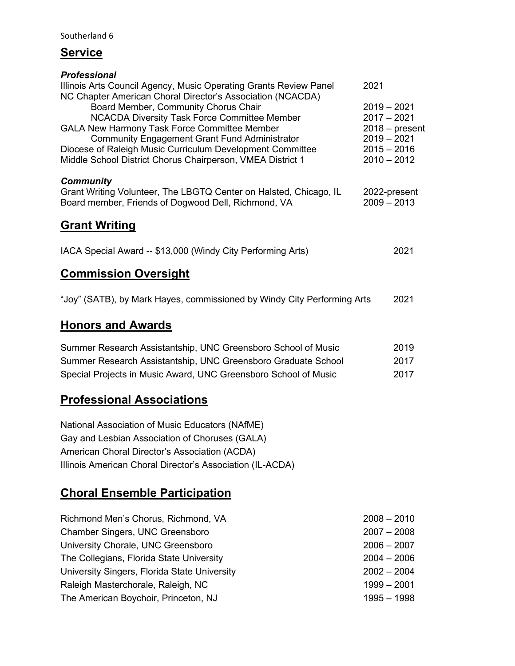## **Service**

| <b>Professional</b>                                                                                |                  |
|----------------------------------------------------------------------------------------------------|------------------|
| Illinois Arts Council Agency, Music Operating Grants Review Panel                                  | 2021             |
| NC Chapter American Choral Director's Association (NCACDA)<br>Board Member, Community Chorus Chair | $2019 - 2021$    |
| <b>NCACDA Diversity Task Force Committee Member</b>                                                | $2017 - 2021$    |
| <b>GALA New Harmony Task Force Committee Member</b>                                                | $2018 - present$ |
| <b>Community Engagement Grant Fund Administrator</b>                                               | $2019 - 2021$    |
| Diocese of Raleigh Music Curriculum Development Committee                                          | $2015 - 2016$    |
| Middle School District Chorus Chairperson, VMEA District 1                                         | $2010 - 2012$    |
| <b>Community</b>                                                                                   |                  |
| Grant Writing Volunteer, The LBGTQ Center on Halsted, Chicago, IL                                  | 2022-present     |
| Board member, Friends of Dogwood Dell, Richmond, VA                                                | $2009 - 2013$    |
| <b>Grant Writing</b>                                                                               |                  |
|                                                                                                    |                  |
| IACA Special Award -- \$13,000 (Windy City Performing Arts)                                        | 2021             |
| <b>Commission Oversight</b>                                                                        |                  |
|                                                                                                    |                  |
| "Joy" (SATB), by Mark Hayes, commissioned by Windy City Performing Arts                            | 2021             |
|                                                                                                    |                  |

# **Honors and Awards**

| Summer Research Assistantship, UNC Greensboro School of Music   | 2019 |
|-----------------------------------------------------------------|------|
| Summer Research Assistantship, UNC Greensboro Graduate School   | 2017 |
| Special Projects in Music Award, UNC Greensboro School of Music | 2017 |

# **Professional Associations**

National Association of Music Educators (NAfME) Gay and Lesbian Association of Choruses (GALA) American Choral Director's Association (ACDA) Illinois American Choral Director's Association (IL-ACDA)

# **Choral Ensemble Participation**

| Richmond Men's Chorus, Richmond, VA          | $2008 - 2010$ |
|----------------------------------------------|---------------|
| <b>Chamber Singers, UNC Greensboro</b>       | $2007 - 2008$ |
| University Chorale, UNC Greensboro           | $2006 - 2007$ |
| The Collegians, Florida State University     | $2004 - 2006$ |
| University Singers, Florida State University | $2002 - 2004$ |
| Raleigh Masterchorale, Raleigh, NC           | $1999 - 2001$ |
| The American Boychoir, Princeton, NJ         | 1995 – 1998   |